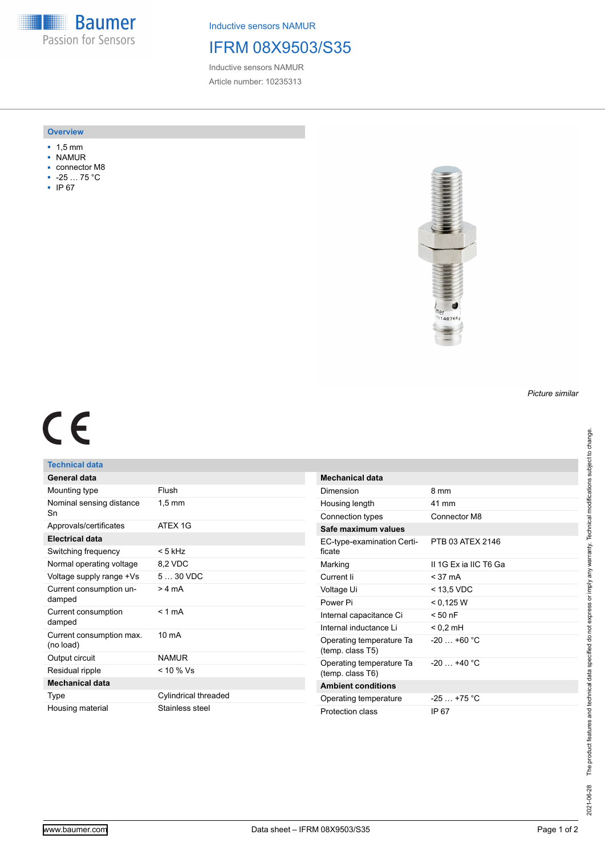**Baumer** Passion for Sensors

Inductive sensors NAMUR

# IFRM 08X9503/S35

Inductive sensors NAMUR Article number: 10235313

### **Overview**

- 1,5 mm
- NAMUR
- connector M8
- -25 … 75 °C
- IP 67



# $C<sub>6</sub>$

## **Technical data**

| General data                          |                      |
|---------------------------------------|----------------------|
| Mounting type                         | Flush                |
| Nominal sensing distance<br>Sn        | $1,5 \text{ mm}$     |
| Approvals/certificates                | ATFX 1G              |
| <b>Electrical data</b>                |                      |
| Switching frequency                   | $< 5$ kHz            |
| Normal operating voltage              | 8,2 VDC              |
| Voltage supply range +Vs              | $530$ VDC            |
| Current consumption un-<br>damped     | $>4 \text{ mA}$      |
| Current consumption<br>damped         | $< 1$ mA             |
| Current consumption max.<br>(no load) | $10 \text{ mA}$      |
| Output circuit                        | <b>NAMUR</b>         |
| Residual ripple                       | $< 10 \%$ Vs         |
| <b>Mechanical data</b>                |                      |
| Type                                  | Cylindrical threaded |
| Housing material                      | Stainless steel      |

| Mechanical data                              |                      |
|----------------------------------------------|----------------------|
| Dimension                                    | 8 mm                 |
| Housing length                               | 41 mm                |
| Connection types                             | Connector M8         |
| Safe maximum values                          |                      |
| EC-type-examination Certi-<br>ficate         | PTB 03 ATFX 2146     |
| Marking                                      | IL1G Ex ia IIC T6 Ga |
| Current li                                   | $<$ 37 mA            |
| Voltage Ui                                   | $<$ 13.5 VDC         |
| Power Pi                                     | < 0.125 W            |
| Internal capacitance Ci                      | $< 50$ nF            |
| Internal inductance Li                       | $< 0.2$ mH           |
| Operating temperature Ta<br>(temp. class T5) | $-20 + 60 °C$        |
| Operating temperature Ta<br>(temp. class T6) | $-20+40 °C$          |
| <b>Ambient conditions</b>                    |                      |
| Operating temperature                        | $-25$ $+75$ °C       |
| Protection class                             | IP 67                |

*Picture similar*